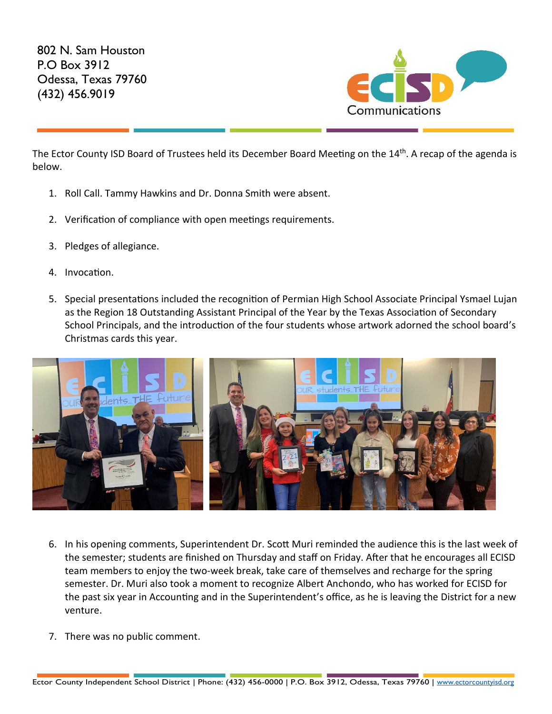802 N. Sam Houston P.O Box 3912 Odessa, Texas 79760 (432) 456.9019



The Ector County ISD Board of Trustees held its December Board Meeting on the 14<sup>th</sup>. A recap of the agenda is below.

- 1. Roll Call. Tammy Hawkins and Dr. Donna Smith were absent.
- 2. Verification of compliance with open meetings requirements.
- 3. Pledges of allegiance.
- 4. Invocation.
- 5. Special presentations included the recognition of Permian High School Associate Principal Ysmael Lujan as the Region 18 Outstanding Assistant Principal of the Year by the Texas Association of Secondary School Principals, and the introduction of the four students whose artwork adorned the school board's Christmas cards this year.



- 6. In his opening comments, Superintendent Dr. Scott Muri reminded the audience this is the last week of the semester; students are finished on Thursday and staff on Friday. After that he encourages all ECISD team members to enjoy the two-week break, take care of themselves and recharge for the spring semester. Dr. Muri also took a moment to recognize Albert Anchondo, who has worked for ECISD for the past six year in Accounting and in the Superintendent's office, as he is leaving the District for a new venture.
- 7. There was no public comment.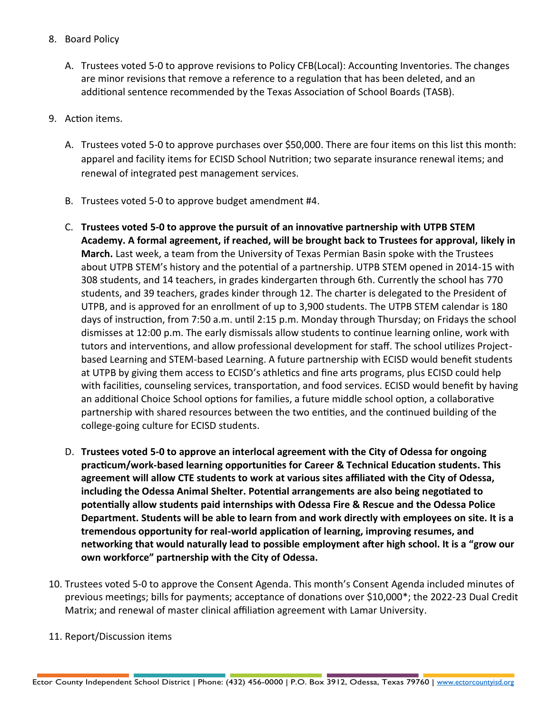- 8. Board Policy
	- A. Trustees voted 5-0 to approve revisions to Policy CFB(Local): Accounting Inventories. The changes are minor revisions that remove a reference to a regulation that has been deleted, and an additional sentence recommended by the Texas Association of School Boards (TASB).
- 9. Action items.
	- A. Trustees voted 5-0 to approve purchases over \$50,000. There are four items on this list this month: apparel and facility items for ECISD School Nutrition; two separate insurance renewal items; and renewal of integrated pest management services.
	- B. Trustees voted 5-0 to approve budget amendment #4.
	- C. **Trustees voted 5-0 to approve the pursuit of an innovative partnership with UTPB STEM Academy. A formal agreement, if reached, will be brought back to Trustees for approval, likely in March.** Last week, a team from the University of Texas Permian Basin spoke with the Trustees about UTPB STEM's history and the potential of a partnership. UTPB STEM opened in 2014-15 with 308 students, and 14 teachers, in grades kindergarten through 6th. Currently the school has 770 students, and 39 teachers, grades kinder through 12. The charter is delegated to the President of UTPB, and is approved for an enrollment of up to 3,900 students. The UTPB STEM calendar is 180 days of instruction, from 7:50 a.m. until 2:15 p.m. Monday through Thursday; on Fridays the school dismisses at 12:00 p.m. The early dismissals allow students to continue learning online, work with tutors and interventions, and allow professional development for staff. The school utilizes Projectbased Learning and STEM-based Learning. A future partnership with ECISD would benefit students at UTPB by giving them access to ECISD's athletics and fine arts programs, plus ECISD could help with facilities, counseling services, transportation, and food services. ECISD would benefit by having an additional Choice School options for families, a future middle school option, a collaborative partnership with shared resources between the two entities, and the continued building of the college-going culture for ECISD students.
	- D. **Trustees voted 5-0 to approve an interlocal agreement with the City of Odessa for ongoing practicum/work-based learning opportunities for Career & Technical Education students. This agreement will allow CTE students to work at various sites affiliated with the City of Odessa, including the Odessa Animal Shelter. Potential arrangements are also being negotiated to potentially allow students paid internships with Odessa Fire & Rescue and the Odessa Police Department. Students will be able to learn from and work directly with employees on site. It is a tremendous opportunity for real-world application of learning, improving resumes, and networking that would naturally lead to possible employment after high school. It is a "grow our own workforce" partnership with the City of Odessa.**
- 10. Trustees voted 5-0 to approve the Consent Agenda. This month's Consent Agenda included minutes of previous meetings; bills for payments; acceptance of donations over \$10,000\*; the 2022-23 Dual Credit Matrix; and renewal of master clinical affiliation agreement with Lamar University.
- 11. Report/Discussion items